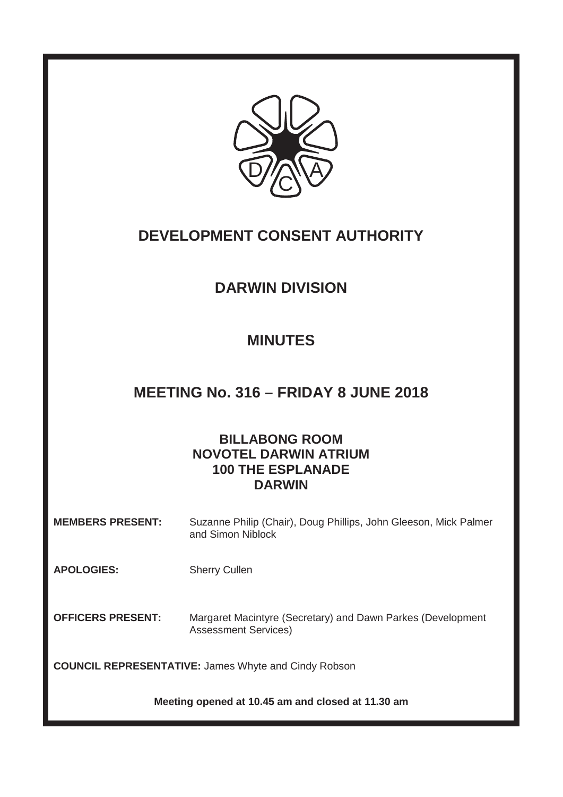

# **DEVELOPMENT CONSENT AUTHORITY**

# **DARWIN DIVISION**

# **MINUTES**

# **MEETING No. 316 – FRIDAY 8 JUNE 2018**

## **BILLABONG ROOM NOVOTEL DARWIN ATRIUM 100 THE ESPLANADE DARWIN**

**MEMBERS PRESENT:** Suzanne Philip (Chair), Doug Phillips, John Gleeson, Mick Palmer and Simon Niblock

**APOLOGIES:** Sherry Cullen

**OFFICERS PRESENT:** Margaret Macintyre (Secretary) and Dawn Parkes (Development Assessment Services)

**COUNCIL REPRESENTATIVE:** James Whyte and Cindy Robson

**Meeting opened at 10.45 am and closed at 11.30 am**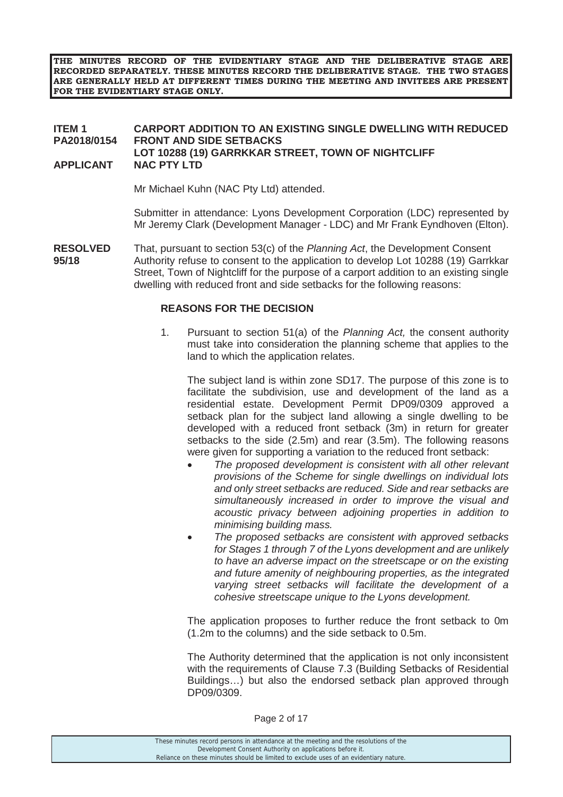**THE MINUTES RECORD OF THE EVIDENTIARY STAGE AND THE DELIBERATIVE STAGE ARE RECORDED SEPARATELY. THESE MINUTES RECORD THE DELIBERATIVE STAGE. THE TWO STAGES ARE GENERALLY HELD AT DIFFERENT TIMES DURING THE MEETING AND INVITEES ARE PRESENT FOR THE EVIDENTIARY STAGE ONLY.** 

#### **ITEM 1 CARPORT ADDITION TO AN EXISTING SINGLE DWELLING WITH REDUCED PA2018/0154 FRONT AND SIDE SETBACKS LOT 10288 (19) GARRKKAR STREET, TOWN OF NIGHTCLIFF APPLICANT NAC PTY LTD**

Mr Michael Kuhn (NAC Pty Ltd) attended.

 Submitter in attendance: Lyons Development Corporation (LDC) represented by Mr Jeremy Clark (Development Manager - LDC) and Mr Frank Eyndhoven (Elton).

**RESOLVED** That, pursuant to section 53(c) of the *Planning Act*, the Development Consent **95/18** Authority refuse to consent to the application to develop Lot 10288 (19) Garrkkar Street, Town of Nightcliff for the purpose of a carport addition to an existing single dwelling with reduced front and side setbacks for the following reasons:

#### **REASONS FOR THE DECISION**

1. Pursuant to section 51(a) of the *Planning Act,* the consent authority must take into consideration the planning scheme that applies to the land to which the application relates.

 The subject land is within zone SD17. The purpose of this zone is to facilitate the subdivision, use and development of the land as a residential estate. Development Permit DP09/0309 approved a setback plan for the subject land allowing a single dwelling to be developed with a reduced front setback (3m) in return for greater setbacks to the side (2.5m) and rear (3.5m). The following reasons were given for supporting a variation to the reduced front setback:

- x *The proposed development is consistent with all other relevant provisions of the Scheme for single dwellings on individual lots and only street setbacks are reduced. Side and rear setbacks are simultaneously increased in order to improve the visual and acoustic privacy between adjoining properties in addition to minimising building mass.*
- x *The proposed setbacks are consistent with approved setbacks for Stages 1 through 7 of the Lyons development and are unlikely to have an adverse impact on the streetscape or on the existing and future amenity of neighbouring properties, as the integrated varying street setbacks will facilitate the development of a cohesive streetscape unique to the Lyons development.*

The application proposes to further reduce the front setback to 0m (1.2m to the columns) and the side setback to 0.5m.

The Authority determined that the application is not only inconsistent with the requirements of Clause 7.3 (Building Setbacks of Residential Buildings…) but also the endorsed setback plan approved through DP09/0309.

Page 2 of 17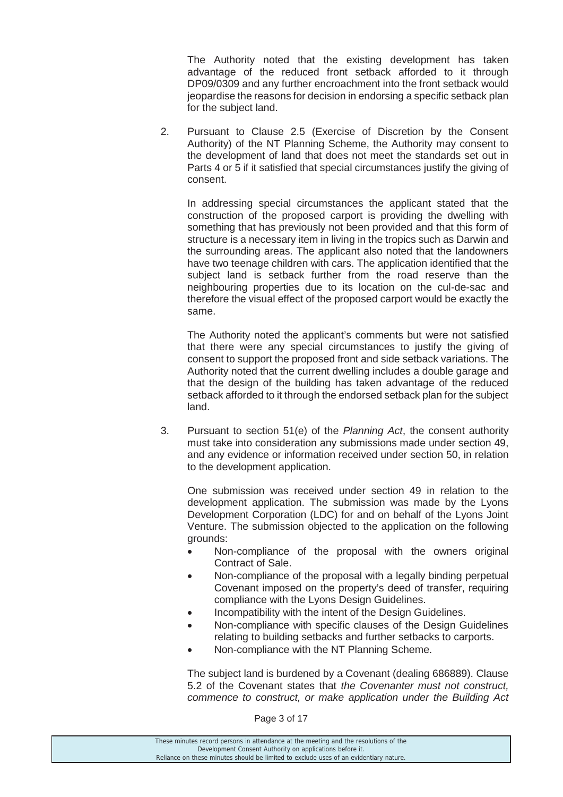The Authority noted that the existing development has taken advantage of the reduced front setback afforded to it through DP09/0309 and any further encroachment into the front setback would jeopardise the reasons for decision in endorsing a specific setback plan for the subject land.

2. Pursuant to Clause 2.5 (Exercise of Discretion by the Consent Authority) of the NT Planning Scheme, the Authority may consent to the development of land that does not meet the standards set out in Parts 4 or 5 if it satisfied that special circumstances justify the giving of consent.

 In addressing special circumstances the applicant stated that the construction of the proposed carport is providing the dwelling with something that has previously not been provided and that this form of structure is a necessary item in living in the tropics such as Darwin and the surrounding areas. The applicant also noted that the landowners have two teenage children with cars. The application identified that the subject land is setback further from the road reserve than the neighbouring properties due to its location on the cul-de-sac and therefore the visual effect of the proposed carport would be exactly the same.

The Authority noted the applicant's comments but were not satisfied that there were any special circumstances to justify the giving of consent to support the proposed front and side setback variations. The Authority noted that the current dwelling includes a double garage and that the design of the building has taken advantage of the reduced setback afforded to it through the endorsed setback plan for the subject land.

3. Pursuant to section 51(e) of the *Planning Act*, the consent authority must take into consideration any submissions made under section 49, and any evidence or information received under section 50, in relation to the development application.

 One submission was received under section 49 in relation to the development application. The submission was made by the Lyons Development Corporation (LDC) for and on behalf of the Lyons Joint Venture. The submission objected to the application on the following grounds:

- Non-compliance of the proposal with the owners original Contract of Sale.
- Non-compliance of the proposal with a legally binding perpetual Covenant imposed on the property's deed of transfer, requiring compliance with the Lyons Design Guidelines.
- Incompatibility with the intent of the Design Guidelines.
- Non-compliance with specific clauses of the Design Guidelines relating to building setbacks and further setbacks to carports.
- Non-compliance with the NT Planning Scheme.

 The subject land is burdened by a Covenant (dealing 686889). Clause 5.2 of the Covenant states that *the Covenanter must not construct, commence to construct, or make application under the Building Act* 

Page 3 of 17

These minutes record persons in attendance at the meeting and the resolutions of the Development Consent Authority on applications before it. Reliance on these minutes should be limited to exclude uses of an evidentiary nature.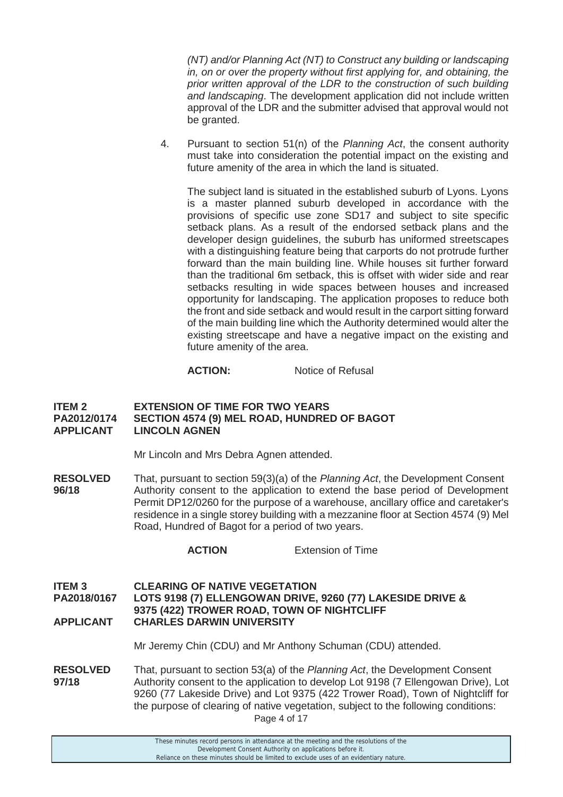*(NT) and/or Planning Act (NT) to Construct any building or landscaping in, on or over the property without first applying for, and obtaining, the prior written approval of the LDR to the construction of such building and landscaping*. The development application did not include written approval of the LDR and the submitter advised that approval would not be granted.

4. Pursuant to section 51(n) of the *Planning Act*, the consent authority must take into consideration the potential impact on the existing and future amenity of the area in which the land is situated.

The subject land is situated in the established suburb of Lyons. Lyons is a master planned suburb developed in accordance with the provisions of specific use zone SD17 and subject to site specific setback plans. As a result of the endorsed setback plans and the developer design guidelines, the suburb has uniformed streetscapes with a distinguishing feature being that carports do not protrude further forward than the main building line. While houses sit further forward than the traditional 6m setback, this is offset with wider side and rear setbacks resulting in wide spaces between houses and increased opportunity for landscaping. The application proposes to reduce both the front and side setback and would result in the carport sitting forward of the main building line which the Authority determined would alter the existing streetscape and have a negative impact on the existing and future amenity of the area.

#### **ACTION:** Notice of Refusal

#### **ITEM 2 EXTENSION OF TIME FOR TWO YEARS<br>PA2012/0174 SECTION 4574 (9) MEL ROAD. HUNDRE** SECTION 4574 (9) MEL ROAD, HUNDRED OF BAGOT **APPLICANT LINCOLN AGNEN**

Mr Lincoln and Mrs Debra Agnen attended.

**RESOLVED** That, pursuant to section 59(3)(a) of the *Planning Act*, the Development Consent **96/18** • Authority consent to the application to extend the base period of Development Permit DP12/0260 for the purpose of a warehouse, ancillary office and caretaker's residence in a single storey building with a mezzanine floor at Section 4574 (9) Mel Road, Hundred of Bagot for a period of two years.

 **ACTION** Extension of Time

**ITEM 3 CLEARING OF NATIVE VEGETATION PA2018/0167 LOTS 9198 (7) ELLENGOWAN DRIVE, 9260 (77) LAKESIDE DRIVE & 9375 (422) TROWER ROAD, TOWN OF NIGHTCLIFF APPLICANT CHARLES DARWIN UNIVERSITY** 

Mr Jeremy Chin (CDU) and Mr Anthony Schuman (CDU) attended.

Page 4 of 17 **RESOLVED** That, pursuant to section 53(a) of the *Planning Act*, the Development Consent **97/18** Authority consent to the application to develop Lot 9198 (7 Ellengowan Drive), Lot 9260 (77 Lakeside Drive) and Lot 9375 (422 Trower Road), Town of Nightcliff for the purpose of clearing of native vegetation, subject to the following conditions: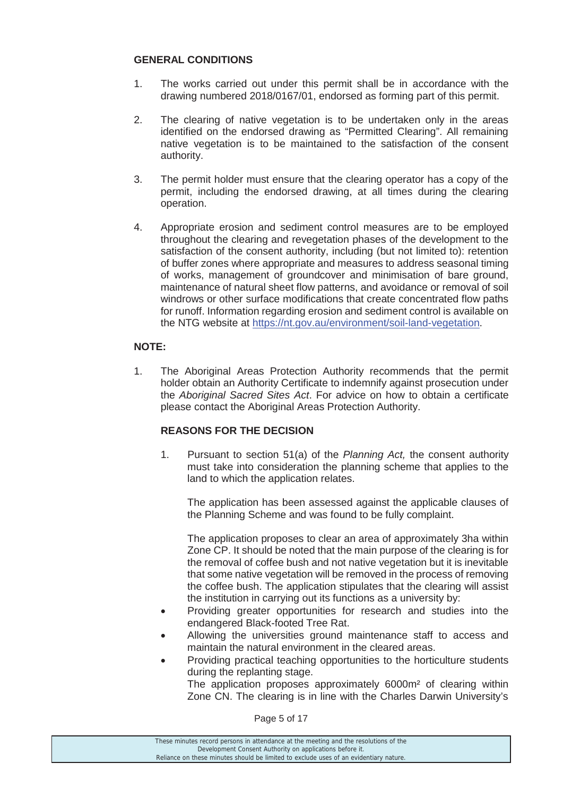#### **GENERAL CONDITIONS**

- 1. The works carried out under this permit shall be in accordance with the drawing numbered 2018/0167/01, endorsed as forming part of this permit.
- 2. The clearing of native vegetation is to be undertaken only in the areas identified on the endorsed drawing as "Permitted Clearing". All remaining native vegetation is to be maintained to the satisfaction of the consent authority.
- 3. The permit holder must ensure that the clearing operator has a copy of the permit, including the endorsed drawing, at all times during the clearing operation.
- 4. Appropriate erosion and sediment control measures are to be employed throughout the clearing and revegetation phases of the development to the satisfaction of the consent authority, including (but not limited to): retention of buffer zones where appropriate and measures to address seasonal timing of works, management of groundcover and minimisation of bare ground, maintenance of natural sheet flow patterns, and avoidance or removal of soil windrows or other surface modifications that create concentrated flow paths for runoff. Information regarding erosion and sediment control is available on the NTG website at https://nt.gov.au/environment/soil-land-vegetation.

#### **NOTE:**

1. The Aboriginal Areas Protection Authority recommends that the permit holder obtain an Authority Certificate to indemnify against prosecution under the *Aboriginal Sacred Sites Act*. For advice on how to obtain a certificate please contact the Aboriginal Areas Protection Authority.

### **REASONS FOR THE DECISION**

1. Pursuant to section 51(a) of the *Planning Act,* the consent authority must take into consideration the planning scheme that applies to the land to which the application relates.

 The application has been assessed against the applicable clauses of the Planning Scheme and was found to be fully complaint.

 The application proposes to clear an area of approximately 3ha within Zone CP. It should be noted that the main purpose of the clearing is for the removal of coffee bush and not native vegetation but it is inevitable that some native vegetation will be removed in the process of removing the coffee bush. The application stipulates that the clearing will assist the institution in carrying out its functions as a university by:

- Providing greater opportunities for research and studies into the endangered Black-footed Tree Rat.
- Allowing the universities ground maintenance staff to access and maintain the natural environment in the cleared areas.
- Providing practical teaching opportunities to the horticulture students during the replanting stage.

 The application proposes approximately 6000m² of clearing within Zone CN. The clearing is in line with the Charles Darwin University's

Page 5 of 17

These minutes record persons in attendance at the meeting and the resolutions of the Development Consent Authority on applications before it. Reliance on these minutes should be limited to exclude uses of an evidentiary nature.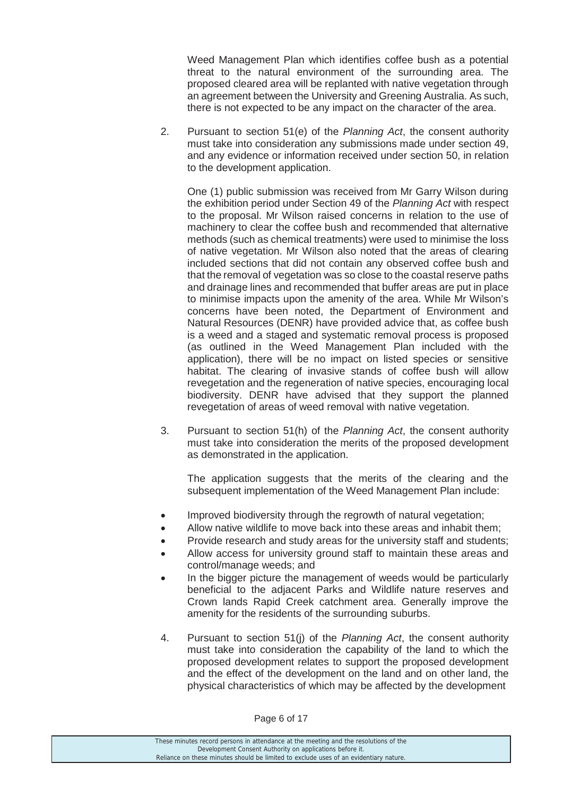Weed Management Plan which identifies coffee bush as a potential threat to the natural environment of the surrounding area. The proposed cleared area will be replanted with native vegetation through an agreement between the University and Greening Australia. As such, there is not expected to be any impact on the character of the area.

2. Pursuant to section 51(e) of the *Planning Act*, the consent authority must take into consideration any submissions made under section 49, and any evidence or information received under section 50, in relation to the development application.

 One (1) public submission was received from Mr Garry Wilson during the exhibition period under Section 49 of the *Planning Act* with respect to the proposal. Mr Wilson raised concerns in relation to the use of machinery to clear the coffee bush and recommended that alternative methods (such as chemical treatments) were used to minimise the loss of native vegetation. Mr Wilson also noted that the areas of clearing included sections that did not contain any observed coffee bush and that the removal of vegetation was so close to the coastal reserve paths and drainage lines and recommended that buffer areas are put in place to minimise impacts upon the amenity of the area. While Mr Wilson's concerns have been noted, the Department of Environment and Natural Resources (DENR) have provided advice that, as coffee bush is a weed and a staged and systematic removal process is proposed (as outlined in the Weed Management Plan included with the application), there will be no impact on listed species or sensitive habitat. The clearing of invasive stands of coffee bush will allow revegetation and the regeneration of native species, encouraging local biodiversity. DENR have advised that they support the planned revegetation of areas of weed removal with native vegetation.

3. Pursuant to section 51(h) of the *Planning Act*, the consent authority must take into consideration the merits of the proposed development as demonstrated in the application.

 The application suggests that the merits of the clearing and the subsequent implementation of the Weed Management Plan include:

- Improved biodiversity through the regrowth of natural vegetation;
- Allow native wildlife to move back into these areas and inhabit them;
- Provide research and study areas for the university staff and students;
- Allow access for university ground staff to maintain these areas and control/manage weeds; and
- In the bigger picture the management of weeds would be particularly beneficial to the adjacent Parks and Wildlife nature reserves and Crown lands Rapid Creek catchment area. Generally improve the amenity for the residents of the surrounding suburbs.
- 4. Pursuant to section 51(j) of the *Planning Act*, the consent authority must take into consideration the capability of the land to which the proposed development relates to support the proposed development and the effect of the development on the land and on other land, the physical characteristics of which may be affected by the development

#### Page 6 of 17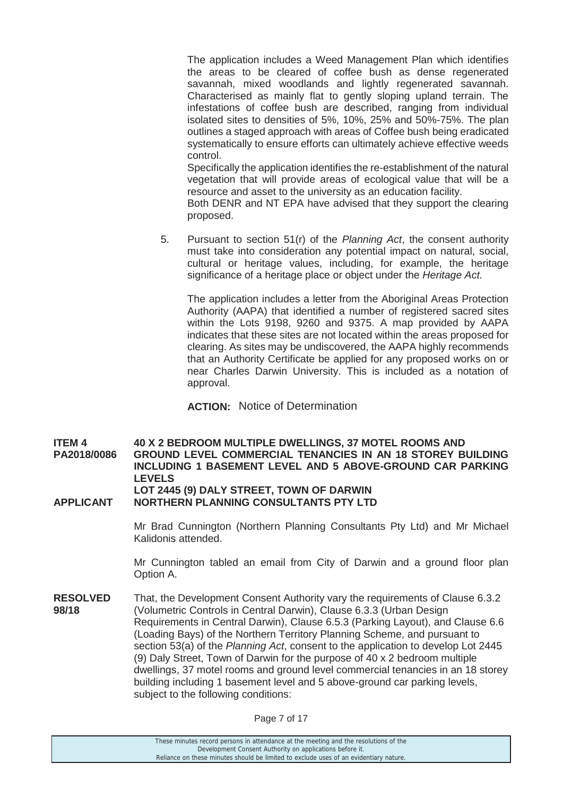The application includes a Weed Management Plan which identifies the areas to be cleared of coffee bush as dense regenerated savannah, mixed woodlands and lightly regenerated savannah. Characterised as mainly flat to gently sloping upland terrain. The infestations of coffee bush are described, ranging from individual isolated sites to densities of 5%, 10%, 25% and 50%-75%. The plan outlines a staged approach with areas of Coffee bush being eradicated systematically to ensure efforts can ultimately achieve effective weeds control.

 Specifically the application identifies the re-establishment of the natural vegetation that will provide areas of ecological value that will be a resource and asset to the university as an education facility.

 Both DENR and NT EPA have advised that they support the clearing proposed.

5. Pursuant to section 51(r) of the *Planning Act*, the consent authority must take into consideration any potential impact on natural, social, cultural or heritage values, including, for example, the heritage significance of a heritage place or object under the *Heritage Act.*

 The application includes a letter from the Aboriginal Areas Protection Authority (AAPA) that identified a number of registered sacred sites within the Lots 9198, 9260 and 9375. A map provided by AAPA indicates that these sites are not located within the areas proposed for clearing. As sites may be undiscovered, the AAPA highly recommends that an Authority Certificate be applied for any proposed works on or near Charles Darwin University. This is included as a notation of approval.

**ACTION:** Notice of Determination

**ITEM 4 40 X 2 BEDROOM MULTIPLE DWELLINGS, 37 MOTEL ROOMS AND PA2018/0086 GROUND LEVEL COMMERCIAL TENANCIES IN AN 18 STOREY BUILDING INCLUDING 1 BASEMENT LEVEL AND 5 ABOVE-GROUND CAR PARKING LEVELS LOT 2445 (9) DALY STREET, TOWN OF DARWIN APPLICANT NORTHERN PLANNING CONSULTANTS PTY LTD** 

> Mr Brad Cunnington (Northern Planning Consultants Pty Ltd) and Mr Michael Kalidonis attended.

> Mr Cunnington tabled an email from City of Darwin and a ground floor plan Option A.

**RESOLVED** That, the Development Consent Authority vary the requirements of Clause 6.3.2 **98/18** (Volumetric Controls in Central Darwin), Clause 6.3.3 (Urban Design Requirements in Central Darwin), Clause 6.5.3 (Parking Layout), and Clause 6.6 (Loading Bays) of the Northern Territory Planning Scheme, and pursuant to section 53(a) of the *Planning Act*, consent to the application to develop Lot 2445 (9) Daly Street, Town of Darwin for the purpose of 40 x 2 bedroom multiple dwellings, 37 motel rooms and ground level commercial tenancies in an 18 storey building including 1 basement level and 5 above-ground car parking levels, subject to the following conditions:

| These minutes record persons in attendance at the meeting and the resolutions of the  |
|---------------------------------------------------------------------------------------|
| Development Consent Authority on applications before it.                              |
| Reliance on these minutes should be limited to exclude uses of an evidentiary nature. |
|                                                                                       |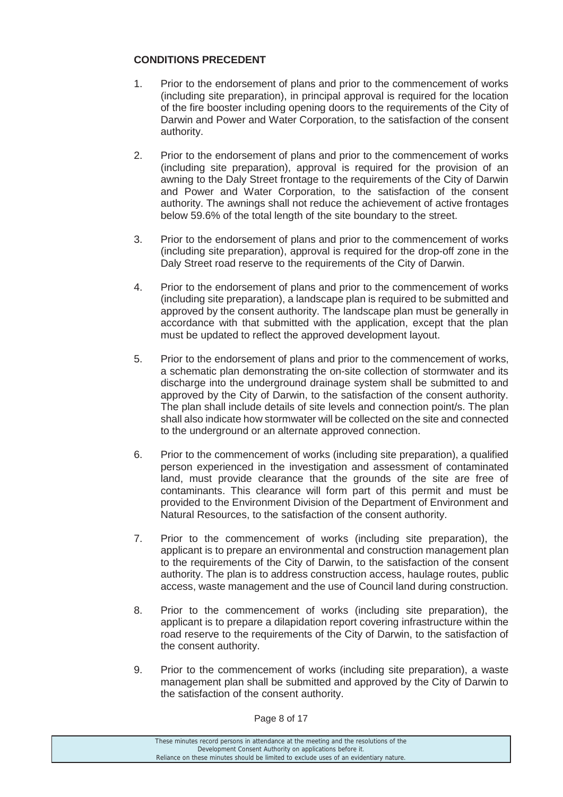### **CONDITIONS PRECEDENT**

- 1. Prior to the endorsement of plans and prior to the commencement of works (including site preparation), in principal approval is required for the location of the fire booster including opening doors to the requirements of the City of Darwin and Power and Water Corporation, to the satisfaction of the consent authority.
- 2. Prior to the endorsement of plans and prior to the commencement of works (including site preparation), approval is required for the provision of an awning to the Daly Street frontage to the requirements of the City of Darwin and Power and Water Corporation, to the satisfaction of the consent authority. The awnings shall not reduce the achievement of active frontages below 59.6% of the total length of the site boundary to the street.
- 3. Prior to the endorsement of plans and prior to the commencement of works (including site preparation), approval is required for the drop-off zone in the Daly Street road reserve to the requirements of the City of Darwin.
- 4. Prior to the endorsement of plans and prior to the commencement of works (including site preparation), a landscape plan is required to be submitted and approved by the consent authority. The landscape plan must be generally in accordance with that submitted with the application, except that the plan must be updated to reflect the approved development layout.
- 5. Prior to the endorsement of plans and prior to the commencement of works, a schematic plan demonstrating the on-site collection of stormwater and its discharge into the underground drainage system shall be submitted to and approved by the City of Darwin, to the satisfaction of the consent authority. The plan shall include details of site levels and connection point/s. The plan shall also indicate how stormwater will be collected on the site and connected to the underground or an alternate approved connection.
- 6. Prior to the commencement of works (including site preparation), a qualified person experienced in the investigation and assessment of contaminated land, must provide clearance that the grounds of the site are free of contaminants. This clearance will form part of this permit and must be provided to the Environment Division of the Department of Environment and Natural Resources, to the satisfaction of the consent authority.
- 7. Prior to the commencement of works (including site preparation), the applicant is to prepare an environmental and construction management plan to the requirements of the City of Darwin, to the satisfaction of the consent authority. The plan is to address construction access, haulage routes, public access, waste management and the use of Council land during construction.
- 8. Prior to the commencement of works (including site preparation), the applicant is to prepare a dilapidation report covering infrastructure within the road reserve to the requirements of the City of Darwin, to the satisfaction of the consent authority.
- 9. Prior to the commencement of works (including site preparation), a waste management plan shall be submitted and approved by the City of Darwin to the satisfaction of the consent authority.

Page 8 of 17

These minutes record persons in attendance at the meeting and the resolutions of the Development Consent Authority on applications before it. Reliance on these minutes should be limited to exclude uses of an evidentiary nature.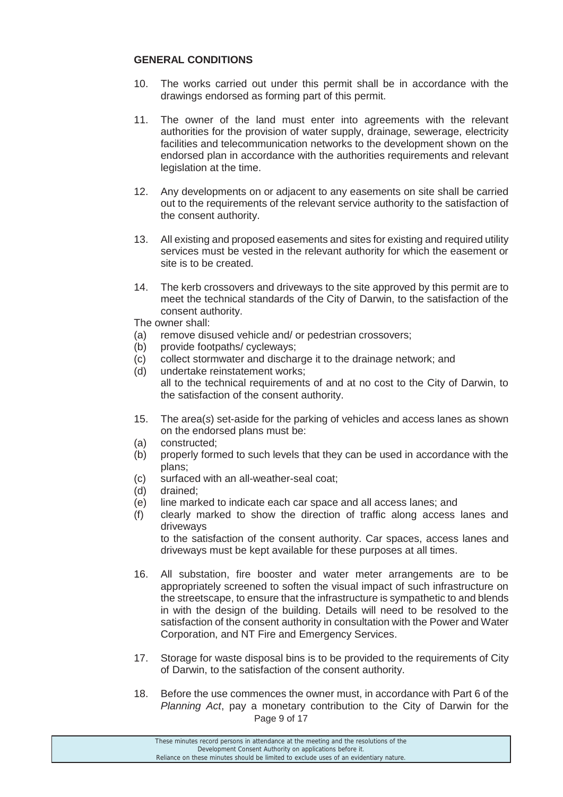#### **GENERAL CONDITIONS**

- 10. The works carried out under this permit shall be in accordance with the drawings endorsed as forming part of this permit.
- 11. The owner of the land must enter into agreements with the relevant authorities for the provision of water supply, drainage, sewerage, electricity facilities and telecommunication networks to the development shown on the endorsed plan in accordance with the authorities requirements and relevant legislation at the time.
- 12. Any developments on or adjacent to any easements on site shall be carried out to the requirements of the relevant service authority to the satisfaction of the consent authority.
- 13. All existing and proposed easements and sites for existing and required utility services must be vested in the relevant authority for which the easement or site is to be created.
- 14. The kerb crossovers and driveways to the site approved by this permit are to meet the technical standards of the City of Darwin, to the satisfaction of the consent authority.

The owner shall:

- (a) remove disused vehicle and/ or pedestrian crossovers;
- (b) provide footpaths/ cycleways;
- (c) collect stormwater and discharge it to the drainage network; and
- (d) undertake reinstatement works; all to the technical requirements of and at no cost to the City of Darwin, to the satisfaction of the consent authority.
- 15. The area(*s*) set-aside for the parking of vehicles and access lanes as shown on the endorsed plans must be:
- (a) constructed;
- (b) properly formed to such levels that they can be used in accordance with the plans;
- (c) surfaced with an all-weather-seal coat;
- (d) drained;
- (e) line marked to indicate each car space and all access lanes; and
- (f) clearly marked to show the direction of traffic along access lanes and driveways

to the satisfaction of the consent authority. Car spaces, access lanes and driveways must be kept available for these purposes at all times.

- 16. All substation, fire booster and water meter arrangements are to be appropriately screened to soften the visual impact of such infrastructure on the streetscape, to ensure that the infrastructure is sympathetic to and blends in with the design of the building. Details will need to be resolved to the satisfaction of the consent authority in consultation with the Power and Water Corporation, and NT Fire and Emergency Services.
- 17. Storage for waste disposal bins is to be provided to the requirements of City of Darwin, to the satisfaction of the consent authority.
- Page 9 of 17 18. Before the use commences the owner must, in accordance with Part 6 of the *Planning Act*, pay a monetary contribution to the City of Darwin for the

These minutes record persons in attendance at the meeting and the resolutions of the Development Consent Authority on applications before it. Reliance on these minutes should be limited to exclude uses of an evidentiary nature.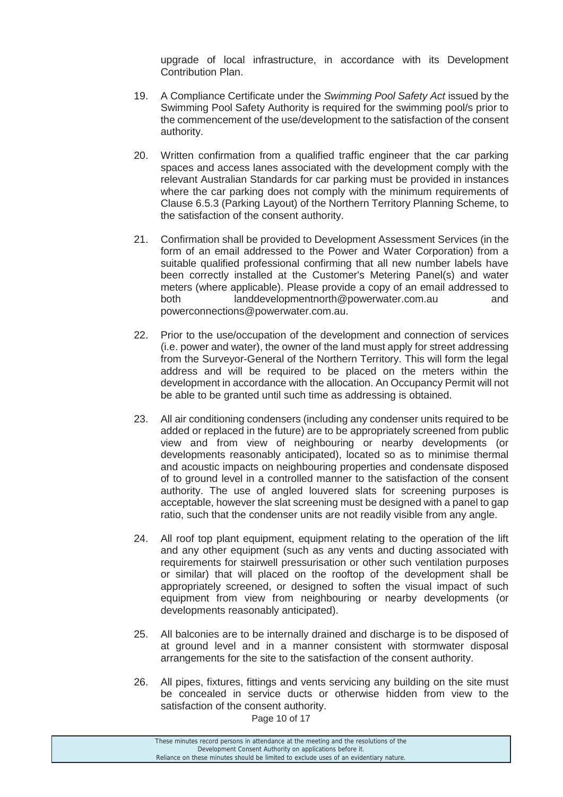upgrade of local infrastructure, in accordance with its Development Contribution Plan.

- 19. A Compliance Certificate under the *Swimming Pool Safety Act* issued by the Swimming Pool Safety Authority is required for the swimming pool/s prior to the commencement of the use/development to the satisfaction of the consent authority.
- 20. Written confirmation from a qualified traffic engineer that the car parking spaces and access lanes associated with the development comply with the relevant Australian Standards for car parking must be provided in instances where the car parking does not comply with the minimum requirements of Clause 6.5.3 (Parking Layout) of the Northern Territory Planning Scheme, to the satisfaction of the consent authority.
- 21. Confirmation shall be provided to Development Assessment Services (in the form of an email addressed to the Power and Water Corporation) from a suitable qualified professional confirming that all new number labels have been correctly installed at the Customer's Metering Panel(s) and water meters (where applicable). Please provide a copy of an email addressed to both landdevelopmentnorth@powerwater.com.au and powerconnections@powerwater.com.au.
- 22. Prior to the use/occupation of the development and connection of services (i.e. power and water), the owner of the land must apply for street addressing from the Surveyor-General of the Northern Territory. This will form the legal address and will be required to be placed on the meters within the development in accordance with the allocation. An Occupancy Permit will not be able to be granted until such time as addressing is obtained.
- 23. All air conditioning condensers (including any condenser units required to be added or replaced in the future) are to be appropriately screened from public view and from view of neighbouring or nearby developments (or developments reasonably anticipated), located so as to minimise thermal and acoustic impacts on neighbouring properties and condensate disposed of to ground level in a controlled manner to the satisfaction of the consent authority. The use of angled louvered slats for screening purposes is acceptable, however the slat screening must be designed with a panel to gap ratio, such that the condenser units are not readily visible from any angle.
- 24. All roof top plant equipment, equipment relating to the operation of the lift and any other equipment (such as any vents and ducting associated with requirements for stairwell pressurisation or other such ventilation purposes or similar) that will placed on the rooftop of the development shall be appropriately screened, or designed to soften the visual impact of such equipment from view from neighbouring or nearby developments (or developments reasonably anticipated).
- 25. All balconies are to be internally drained and discharge is to be disposed of at ground level and in a manner consistent with stormwater disposal arrangements for the site to the satisfaction of the consent authority.
- 26. All pipes, fixtures, fittings and vents servicing any building on the site must be concealed in service ducts or otherwise hidden from view to the satisfaction of the consent authority.

Page 10 of 17

These minutes record persons in attendance at the meeting and the resolutions of the Development Consent Authority on applications before it. Reliance on these minutes should be limited to exclude uses of an evidentiary nature.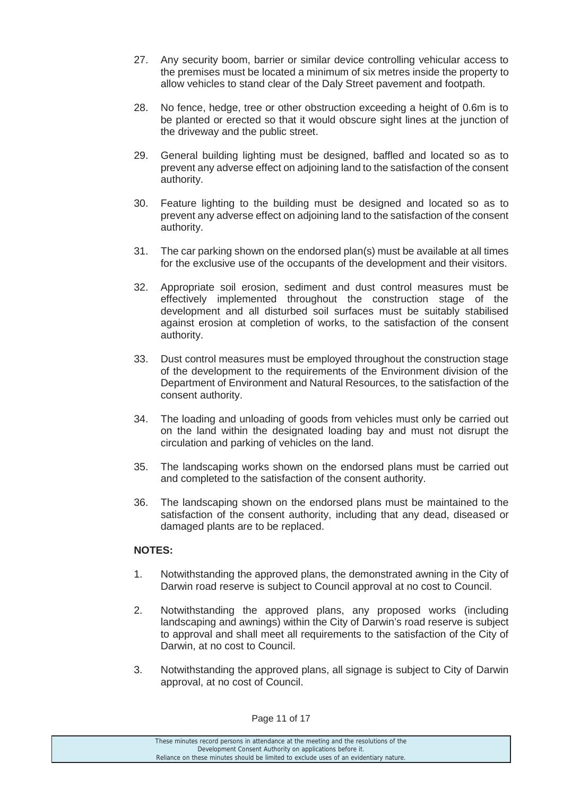- 27. Any security boom, barrier or similar device controlling vehicular access to the premises must be located a minimum of six metres inside the property to allow vehicles to stand clear of the Daly Street pavement and footpath.
- 28. No fence, hedge, tree or other obstruction exceeding a height of 0.6m is to be planted or erected so that it would obscure sight lines at the junction of the driveway and the public street.
- 29. General building lighting must be designed, baffled and located so as to prevent any adverse effect on adjoining land to the satisfaction of the consent authority.
- 30. Feature lighting to the building must be designed and located so as to prevent any adverse effect on adjoining land to the satisfaction of the consent authority.
- 31. The car parking shown on the endorsed plan(s) must be available at all times for the exclusive use of the occupants of the development and their visitors.
- 32. Appropriate soil erosion, sediment and dust control measures must be effectively implemented throughout the construction stage of the development and all disturbed soil surfaces must be suitably stabilised against erosion at completion of works, to the satisfaction of the consent authority.
- 33. Dust control measures must be employed throughout the construction stage of the development to the requirements of the Environment division of the Department of Environment and Natural Resources, to the satisfaction of the consent authority.
- 34. The loading and unloading of goods from vehicles must only be carried out on the land within the designated loading bay and must not disrupt the circulation and parking of vehicles on the land.
- 35. The landscaping works shown on the endorsed plans must be carried out and completed to the satisfaction of the consent authority.
- 36. The landscaping shown on the endorsed plans must be maintained to the satisfaction of the consent authority, including that any dead, diseased or damaged plants are to be replaced.

### **NOTES:**

- 1. Notwithstanding the approved plans, the demonstrated awning in the City of Darwin road reserve is subject to Council approval at no cost to Council.
- 2. Notwithstanding the approved plans, any proposed works (including landscaping and awnings) within the City of Darwin's road reserve is subject to approval and shall meet all requirements to the satisfaction of the City of Darwin, at no cost to Council.
- 3. Notwithstanding the approved plans, all signage is subject to City of Darwin approval, at no cost of Council.

Page 11 of 17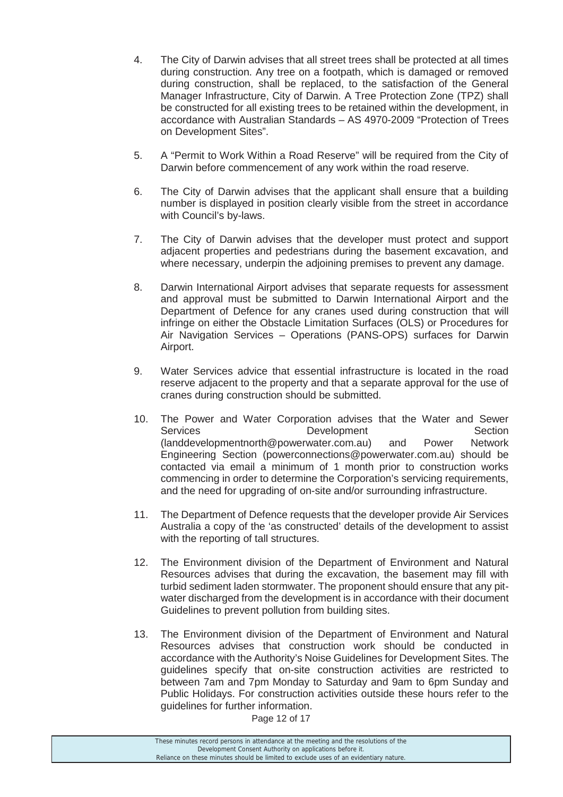- 4. The City of Darwin advises that all street trees shall be protected at all times during construction. Any tree on a footpath, which is damaged or removed during construction, shall be replaced, to the satisfaction of the General Manager Infrastructure, City of Darwin. A Tree Protection Zone (TPZ) shall be constructed for all existing trees to be retained within the development, in accordance with Australian Standards – AS 4970-2009 "Protection of Trees on Development Sites".
- 5. A "Permit to Work Within a Road Reserve" will be required from the City of Darwin before commencement of any work within the road reserve.
- 6. The City of Darwin advises that the applicant shall ensure that a building number is displayed in position clearly visible from the street in accordance with Council's by-laws.
- 7. The City of Darwin advises that the developer must protect and support adjacent properties and pedestrians during the basement excavation, and where necessary, underpin the adjoining premises to prevent any damage.
- 8. Darwin International Airport advises that separate requests for assessment and approval must be submitted to Darwin International Airport and the Department of Defence for any cranes used during construction that will infringe on either the Obstacle Limitation Surfaces (OLS) or Procedures for Air Navigation Services – Operations (PANS-OPS) surfaces for Darwin Airport.
- 9. Water Services advice that essential infrastructure is located in the road reserve adjacent to the property and that a separate approval for the use of cranes during construction should be submitted.
- 10. The Power and Water Corporation advises that the Water and Sewer Services **Development** Section (landdevelopmentnorth@powerwater.com.au) and Power Network Engineering Section (powerconnections@powerwater.com.au) should be contacted via email a minimum of 1 month prior to construction works commencing in order to determine the Corporation's servicing requirements, and the need for upgrading of on-site and/or surrounding infrastructure.
- 11. The Department of Defence requests that the developer provide Air Services Australia a copy of the 'as constructed' details of the development to assist with the reporting of tall structures.
- 12. The Environment division of the Department of Environment and Natural Resources advises that during the excavation, the basement may fill with turbid sediment laden stormwater. The proponent should ensure that any pitwater discharged from the development is in accordance with their document Guidelines to prevent pollution from building sites.
- 13. The Environment division of the Department of Environment and Natural Resources advises that construction work should be conducted in accordance with the Authority's Noise Guidelines for Development Sites. The guidelines specify that on-site construction activities are restricted to between 7am and 7pm Monday to Saturday and 9am to 6pm Sunday and Public Holidays. For construction activities outside these hours refer to the guidelines for further information.

Page 12 of 17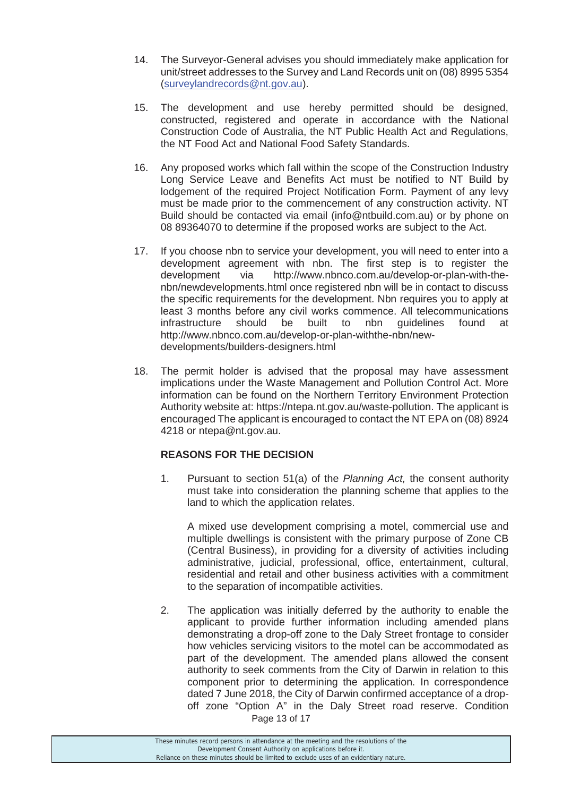- 14. The Surveyor-General advises you should immediately make application for unit/street addresses to the Survey and Land Records unit on (08) 8995 5354 (surveylandrecords@nt.gov.au).
- 15. The development and use hereby permitted should be designed, constructed, registered and operate in accordance with the National Construction Code of Australia, the NT Public Health Act and Regulations, the NT Food Act and National Food Safety Standards.
- 16. Any proposed works which fall within the scope of the Construction Industry Long Service Leave and Benefits Act must be notified to NT Build by lodgement of the required Project Notification Form. Payment of any levy must be made prior to the commencement of any construction activity. NT Build should be contacted via email (info@ntbuild.com.au) or by phone on 08 89364070 to determine if the proposed works are subject to the Act.
- 17. If you choose nbn to service your development, you will need to enter into a development agreement with nbn. The first step is to register the development via http://www.nbnco.com.au/develop-or-plan-with-thenbn/newdevelopments.html once registered nbn will be in contact to discuss the specific requirements for the development. Nbn requires you to apply at least 3 months before any civil works commence. All telecommunications infrastructure should be built to nbn guidelines found at http://www.nbnco.com.au/develop-or-plan-withthe-nbn/newdevelopments/builders-designers.html
- 18. The permit holder is advised that the proposal may have assessment implications under the Waste Management and Pollution Control Act. More information can be found on the Northern Territory Environment Protection Authority website at: https://ntepa.nt.gov.au/waste-pollution. The applicant is encouraged The applicant is encouraged to contact the NT EPA on (08) 8924 4218 or ntepa@nt.gov.au.

### **REASONS FOR THE DECISION**

1. Pursuant to section 51(a) of the *Planning Act,* the consent authority must take into consideration the planning scheme that applies to the land to which the application relates.

 A mixed use development comprising a motel, commercial use and multiple dwellings is consistent with the primary purpose of Zone CB (Central Business), in providing for a diversity of activities including administrative, judicial, professional, office, entertainment, cultural, residential and retail and other business activities with a commitment to the separation of incompatible activities.

Page 13 of 17 2. The application was initially deferred by the authority to enable the applicant to provide further information including amended plans demonstrating a drop-off zone to the Daly Street frontage to consider how vehicles servicing visitors to the motel can be accommodated as part of the development. The amended plans allowed the consent authority to seek comments from the City of Darwin in relation to this component prior to determining the application. In correspondence dated 7 June 2018, the City of Darwin confirmed acceptance of a dropoff zone "Option A" in the Daly Street road reserve. Condition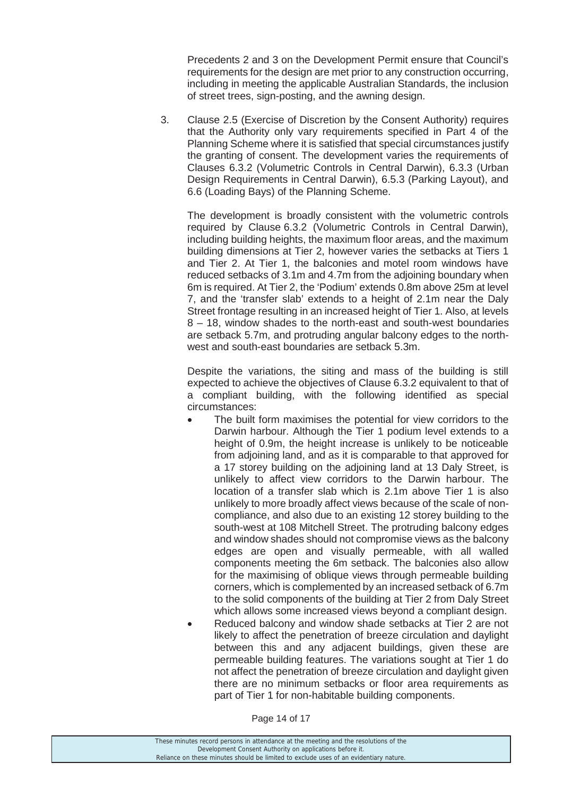Precedents 2 and 3 on the Development Permit ensure that Council's requirements for the design are met prior to any construction occurring, including in meeting the applicable Australian Standards, the inclusion of street trees, sign-posting, and the awning design.

3. Clause 2.5 (Exercise of Discretion by the Consent Authority) requires that the Authority only vary requirements specified in Part 4 of the Planning Scheme where it is satisfied that special circumstances justify the granting of consent. The development varies the requirements of Clauses 6.3.2 (Volumetric Controls in Central Darwin), 6.3.3 (Urban Design Requirements in Central Darwin), 6.5.3 (Parking Layout), and 6.6 (Loading Bays) of the Planning Scheme.

 The development is broadly consistent with the volumetric controls required by Clause 6.3.2 (Volumetric Controls in Central Darwin), including building heights, the maximum floor areas, and the maximum building dimensions at Tier 2, however varies the setbacks at Tiers 1 and Tier 2. At Tier 1, the balconies and motel room windows have reduced setbacks of 3.1m and 4.7m from the adjoining boundary when 6m is required. At Tier 2, the 'Podium' extends 0.8m above 25m at level 7, and the 'transfer slab' extends to a height of 2.1m near the Daly Street frontage resulting in an increased height of Tier 1. Also, at levels 8 – 18, window shades to the north-east and south-west boundaries are setback 5.7m, and protruding angular balcony edges to the northwest and south-east boundaries are setback 5.3m.

 Despite the variations, the siting and mass of the building is still expected to achieve the objectives of Clause 6.3.2 equivalent to that of a compliant building, with the following identified as special circumstances:

- The built form maximises the potential for view corridors to the Darwin harbour. Although the Tier 1 podium level extends to a height of 0.9m, the height increase is unlikely to be noticeable from adjoining land, and as it is comparable to that approved for a 17 storey building on the adjoining land at 13 Daly Street, is unlikely to affect view corridors to the Darwin harbour. The location of a transfer slab which is 2.1m above Tier 1 is also unlikely to more broadly affect views because of the scale of noncompliance, and also due to an existing 12 storey building to the south-west at 108 Mitchell Street. The protruding balcony edges and window shades should not compromise views as the balcony edges are open and visually permeable, with all walled components meeting the 6m setback. The balconies also allow for the maximising of oblique views through permeable building corners, which is complemented by an increased setback of 6.7m to the solid components of the building at Tier 2 from Daly Street which allows some increased views beyond a compliant design.
- Reduced balcony and window shade setbacks at Tier 2 are not likely to affect the penetration of breeze circulation and daylight between this and any adjacent buildings, given these are permeable building features. The variations sought at Tier 1 do not affect the penetration of breeze circulation and daylight given there are no minimum setbacks or floor area requirements as part of Tier 1 for non-habitable building components.

Page 14 of 17

| These minutes record persons in attendance at the meeting and the resolutions of the  |  |
|---------------------------------------------------------------------------------------|--|
| Development Consent Authority on applications before it.                              |  |
| Reliance on these minutes should be limited to exclude uses of an evidentiary nature. |  |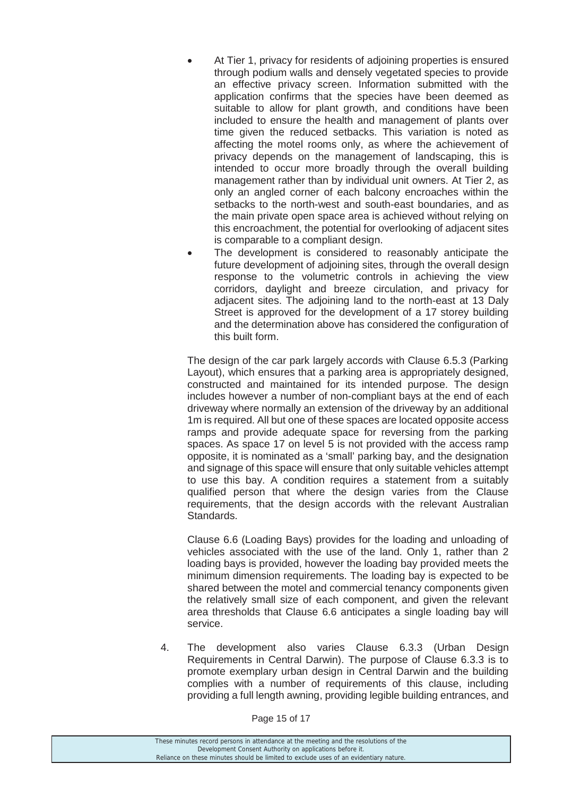- At Tier 1, privacy for residents of adioining properties is ensured through podium walls and densely vegetated species to provide an effective privacy screen. Information submitted with the application confirms that the species have been deemed as suitable to allow for plant growth, and conditions have been included to ensure the health and management of plants over time given the reduced setbacks. This variation is noted as affecting the motel rooms only, as where the achievement of privacy depends on the management of landscaping, this is intended to occur more broadly through the overall building management rather than by individual unit owners. At Tier 2, as only an angled corner of each balcony encroaches within the setbacks to the north-west and south-east boundaries, and as the main private open space area is achieved without relying on this encroachment, the potential for overlooking of adjacent sites is comparable to a compliant design.
- The development is considered to reasonably anticipate the future development of adjoining sites, through the overall design response to the volumetric controls in achieving the view corridors, daylight and breeze circulation, and privacy for adjacent sites. The adjoining land to the north-east at 13 Daly Street is approved for the development of a 17 storey building and the determination above has considered the configuration of this built form.

 The design of the car park largely accords with Clause 6.5.3 (Parking Layout), which ensures that a parking area is appropriately designed, constructed and maintained for its intended purpose. The design includes however a number of non-compliant bays at the end of each driveway where normally an extension of the driveway by an additional 1m is required. All but one of these spaces are located opposite access ramps and provide adequate space for reversing from the parking spaces. As space 17 on level 5 is not provided with the access ramp opposite, it is nominated as a 'small' parking bay, and the designation and signage of this space will ensure that only suitable vehicles attempt to use this bay. A condition requires a statement from a suitably qualified person that where the design varies from the Clause requirements, that the design accords with the relevant Australian Standards.

 Clause 6.6 (Loading Bays) provides for the loading and unloading of vehicles associated with the use of the land. Only 1, rather than 2 loading bays is provided, however the loading bay provided meets the minimum dimension requirements. The loading bay is expected to be shared between the motel and commercial tenancy components given the relatively small size of each component, and given the relevant area thresholds that Clause 6.6 anticipates a single loading bay will service.

4. The development also varies Clause 6.3.3 (Urban Design Requirements in Central Darwin). The purpose of Clause 6.3.3 is to promote exemplary urban design in Central Darwin and the building complies with a number of requirements of this clause, including providing a full length awning, providing legible building entrances, and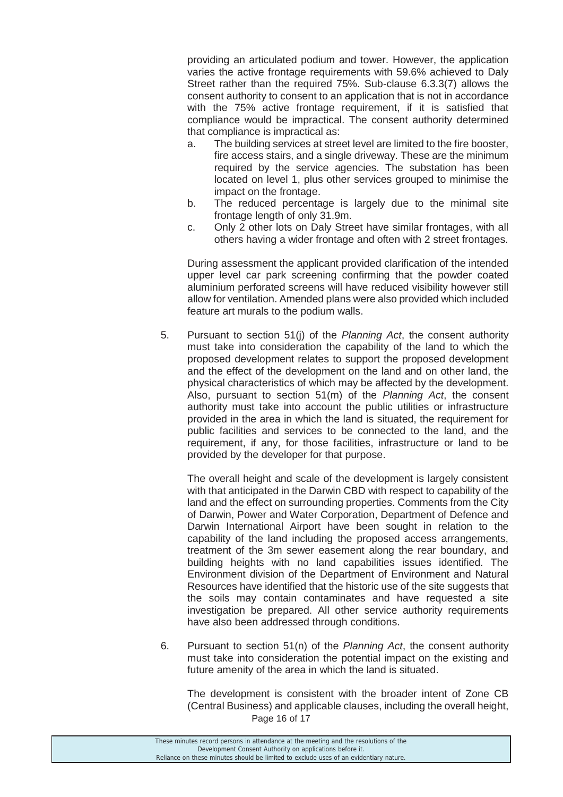providing an articulated podium and tower. However, the application varies the active frontage requirements with 59.6% achieved to Daly Street rather than the required 75%. Sub-clause 6.3.3(7) allows the consent authority to consent to an application that is not in accordance with the 75% active frontage requirement, if it is satisfied that compliance would be impractical. The consent authority determined that compliance is impractical as:

- a. The building services at street level are limited to the fire booster, fire access stairs, and a single driveway. These are the minimum required by the service agencies. The substation has been located on level 1, plus other services grouped to minimise the impact on the frontage.
- b. The reduced percentage is largely due to the minimal site frontage length of only 31.9m.
- c. Only 2 other lots on Daly Street have similar frontages, with all others having a wider frontage and often with 2 street frontages.

 During assessment the applicant provided clarification of the intended upper level car park screening confirming that the powder coated aluminium perforated screens will have reduced visibility however still allow for ventilation. Amended plans were also provided which included feature art murals to the podium walls.

5. Pursuant to section 51(j) of the *Planning Act*, the consent authority must take into consideration the capability of the land to which the proposed development relates to support the proposed development and the effect of the development on the land and on other land, the physical characteristics of which may be affected by the development. Also, pursuant to section 51(m) of the *Planning Act*, the consent authority must take into account the public utilities or infrastructure provided in the area in which the land is situated, the requirement for public facilities and services to be connected to the land, and the requirement, if any, for those facilities, infrastructure or land to be provided by the developer for that purpose.

 The overall height and scale of the development is largely consistent with that anticipated in the Darwin CBD with respect to capability of the land and the effect on surrounding properties. Comments from the City of Darwin, Power and Water Corporation, Department of Defence and Darwin International Airport have been sought in relation to the capability of the land including the proposed access arrangements, treatment of the 3m sewer easement along the rear boundary, and building heights with no land capabilities issues identified. The Environment division of the Department of Environment and Natural Resources have identified that the historic use of the site suggests that the soils may contain contaminates and have requested a site investigation be prepared. All other service authority requirements have also been addressed through conditions.

6. Pursuant to section 51(n) of the *Planning Act*, the consent authority must take into consideration the potential impact on the existing and future amenity of the area in which the land is situated.

Page 16 of 17 The development is consistent with the broader intent of Zone CB (Central Business) and applicable clauses, including the overall height,